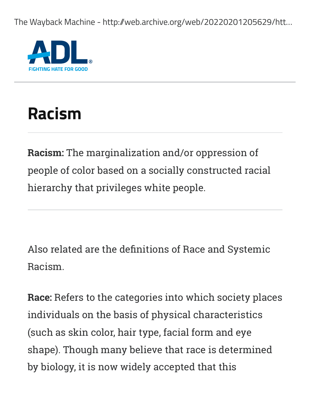The Wayback Machine - http://web.archive.org/web/20220201205629/htt...



## **Racism**

**Racism:** The marginalization and/or oppression of people of color based on a socially constructed racial hierarchy that privileges white people.

Also related are the definitions of Race and Systemic Racism.

**Race:** Refers to the categories into which society places individuals on the basis of physical characteristics (such as skin color, hair type, facial form and eye shape). Though many believe that race is determined by biology, it is now widely accepted that this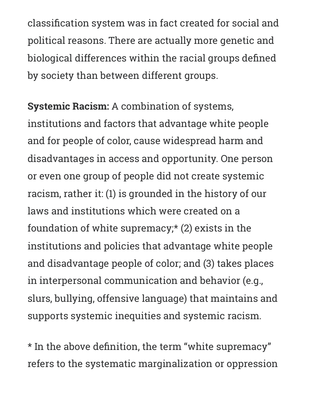classification system was in fact created for social and political reasons. There are actually more genetic and biological differences within the racial groups defined by society than between different groups.

**Systemic Racism:** A combination of systems, institutions and factors that advantage white people and for people of color, cause widespread harm and disadvantages in access and opportunity. One person or even one group of people did not create systemic racism, rather it: (1) is grounded in the history of our laws and institutions which were created on a foundation of white supremacy;\* (2) exists in the institutions and policies that advantage white people and disadvantage people of color; and (3) takes places in interpersonal communication and behavior (e.g., slurs, bullying, offensive language) that maintains and supports systemic inequities and systemic racism.

\* In the above definition, the term "white supremacy" refers to the systematic marginalization or oppression